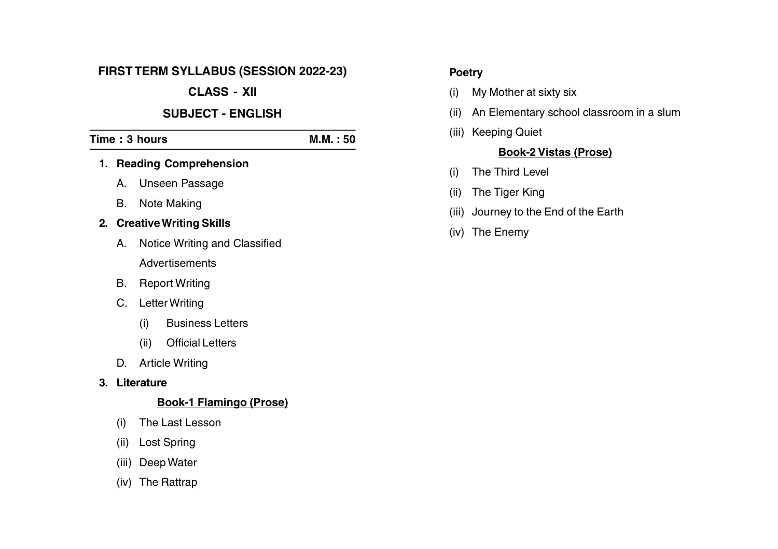#### **FIRST TERM SYLLABUS (SESSION 2022-23)**

# **CLASS - XII**

### **SUBJECT - ENGLISH**

# **Time : 3 hours M.M. : 50 1. Reading Comprehension**

- A. Unseen Passage
- B. Note Making

# **2. CreativeWriting Skills**

- A. Notice Writing and Classified **Advertisements**
- B. Report Writing
- C. Letter Writing
	- (i) Business Letters
	- (ii) Official Letters
- D. Article Writing

# **3. Literature**

# **Book-1 Flamingo (Prose)**

- (i) The Last Lesson
- (ii) Lost Spring
- (iii) Deep Water
- (iv) The Rattrap

# **Poetry**

- (i) My Mother at sixty six
- (ii) An Elementary school classroom in a slum
- (iii) Keeping Quiet

### **Book-2 Vistas (Prose)**

- (i) The Third Level
- (ii) The Tiger King
- (iii) Journey to the End of the Earth
- (iv) The Enemy